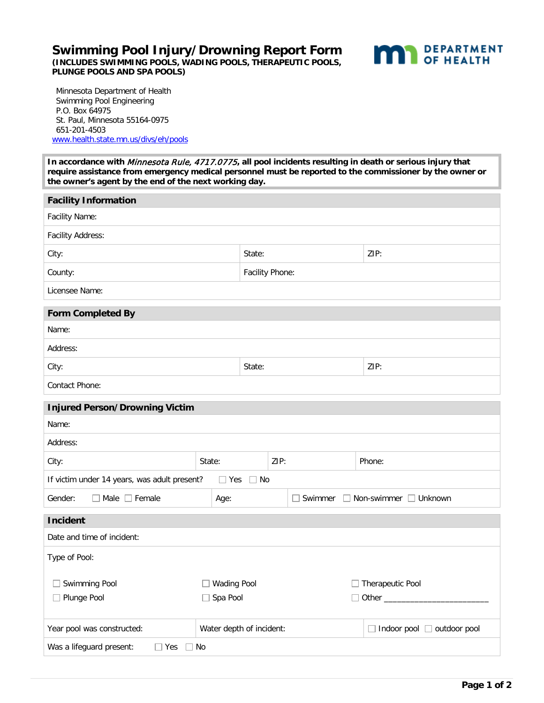## **PLUNGE POOLS AND SPA POOLS) Swimming Pool Injury/Drowning Report Form (INCLUDES SWIMMING POOLS, WADING POOLS, THERAPEUTIC POOLS,**



 Swimming Pool Engineering P.O. Box 64975 St. Paul, Minnesota 55164-0975 Minnesota Department of Health 651-201-4503 [www.health.state.mn.us/divs/eh/pools](https://www.health.state.mn.us/communities/environment/recreation/pools/index.html)

 **In accordance with** Minnesota Rule, 4717.0775**, all pool incidents resulting in death or serious injury that require assistance from emergency medical personnel must be reported to the commissioner by the owner or the owner's agent by the end of the next working day.** 

| <b>Facility Information</b>                                             |                                                                    |                 |      |                    |                                   |        |  |
|-------------------------------------------------------------------------|--------------------------------------------------------------------|-----------------|------|--------------------|-----------------------------------|--------|--|
| Facility Name:                                                          |                                                                    |                 |      |                    |                                   |        |  |
| <b>Facility Address:</b>                                                |                                                                    |                 |      |                    |                                   |        |  |
| City:                                                                   |                                                                    | State:          |      |                    |                                   | ZIP:   |  |
| County:                                                                 |                                                                    | Facility Phone: |      |                    |                                   |        |  |
| Licensee Name:                                                          |                                                                    |                 |      |                    |                                   |        |  |
| <b>Form Completed By</b>                                                |                                                                    |                 |      |                    |                                   |        |  |
| Name:                                                                   |                                                                    |                 |      |                    |                                   |        |  |
| Address:                                                                |                                                                    |                 |      |                    |                                   |        |  |
| City:                                                                   |                                                                    | State:          |      |                    | ZIP:                              |        |  |
| Contact Phone:                                                          |                                                                    |                 |      |                    |                                   |        |  |
| <b>Injured Person/Drowning Victim</b>                                   |                                                                    |                 |      |                    |                                   |        |  |
| Name:                                                                   |                                                                    |                 |      |                    |                                   |        |  |
| Address:                                                                |                                                                    |                 |      |                    |                                   |        |  |
| City:                                                                   | State:                                                             |                 | ZIP: |                    |                                   | Phone: |  |
| If victim under 14 years, was adult present?<br>$\Box$ Yes<br>$\Box$ No |                                                                    |                 |      |                    |                                   |        |  |
| Gender:<br>$\Box$ Male $\Box$ Female                                    | Age:                                                               |                 |      | Swimmer            | $\Box$ Non-swimmer $\Box$ Unknown |        |  |
| <b>Incident</b>                                                         |                                                                    |                 |      |                    |                                   |        |  |
| Date and time of incident:                                              |                                                                    |                 |      |                    |                                   |        |  |
| Type of Pool:                                                           |                                                                    |                 |      |                    |                                   |        |  |
| Swimming Pool                                                           | <b>Wading Pool</b>                                                 |                 |      | □ Therapeutic Pool |                                   |        |  |
| Plunge Pool                                                             | Spa Pool                                                           |                 |      |                    |                                   |        |  |
|                                                                         |                                                                    |                 |      |                    |                                   |        |  |
| Year pool was constructed:                                              | Water depth of incident:<br>$\Box$ Indoor pool $\Box$ outdoor pool |                 |      |                    |                                   |        |  |
| Was a lifeguard present:<br>$\Box$ Yes<br>$\Box$ No                     |                                                                    |                 |      |                    |                                   |        |  |